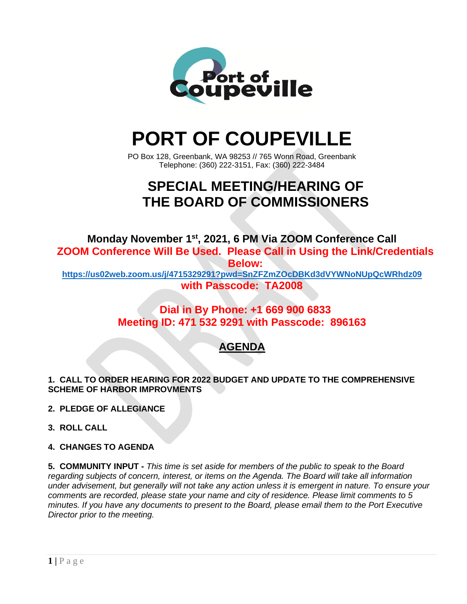

# **PORT OF COUPEVILLE**

PO Box 128, Greenbank, WA 98253 // 765 Wonn Road, Greenbank Telephone: (360) 222-3151, Fax: (360) 222-3484

# **SPECIAL MEETING/HEARING OF THE BOARD OF COMMISSIONERS**

**Monday November 1 st , 2021, 6 PM Via ZOOM Conference Call ZOOM Conference Will Be Used. Please Call in Using the Link/Credentials Below:**

**<https://us02web.zoom.us/j/4715329291?pwd=SnZFZmZOcDBKd3dVYWNoNUpQcWRhdz09> with Passcode: TA2008**

### **Dial in By Phone: +1 669 900 6833 Meeting ID: 471 532 9291 with Passcode: 896163**

## **AGENDA**

**1. CALL TO ORDER HEARING FOR 2022 BUDGET AND UPDATE TO THE COMPREHENSIVE SCHEME OF HARBOR IMPROVMENTS**

**2. PLEDGE OF ALLEGIANCE**

**3. ROLL CALL**

#### **4. CHANGES TO AGENDA**

**5. COMMUNITY INPUT -** *This time is set aside for members of the public to speak to the Board regarding subjects of concern, interest, or items on the Agenda. The Board will take all information under advisement, but generally will not take any action unless it is emergent in nature. To ensure your comments are recorded, please state your name and city of residence. Please limit comments to 5 minutes. If you have any documents to present to the Board, please email them to the Port Executive Director prior to the meeting.*